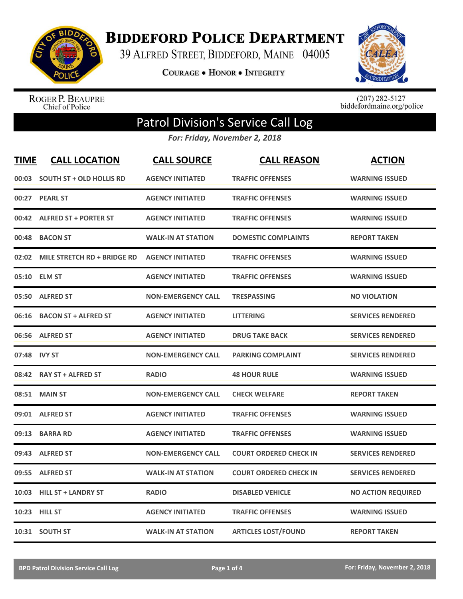

**BIDDEFORD POLICE DEPARTMENT** 

39 ALFRED STREET, BIDDEFORD, MAINE 04005

**COURAGE . HONOR . INTEGRITY** 



ROGER P. BEAUPRE<br>Chief of Police

 $(207)$  282-5127<br>biddefordmaine.org/police

## Patrol Division's Service Call Log

*For: Friday, November 2, 2018*

| <b>TIME</b> | <b>CALL LOCATION</b>            | <b>CALL SOURCE</b>        | <b>CALL REASON</b>            | <b>ACTION</b>             |
|-------------|---------------------------------|---------------------------|-------------------------------|---------------------------|
| 00:03       | <b>SOUTH ST + OLD HOLLIS RD</b> | <b>AGENCY INITIATED</b>   | <b>TRAFFIC OFFENSES</b>       | <b>WARNING ISSUED</b>     |
| 00:27       | <b>PEARL ST</b>                 | <b>AGENCY INITIATED</b>   | <b>TRAFFIC OFFENSES</b>       | <b>WARNING ISSUED</b>     |
|             | 00:42 ALFRED ST + PORTER ST     | <b>AGENCY INITIATED</b>   | <b>TRAFFIC OFFENSES</b>       | <b>WARNING ISSUED</b>     |
| 00:48       | <b>BACON ST</b>                 | <b>WALK-IN AT STATION</b> | <b>DOMESTIC COMPLAINTS</b>    | <b>REPORT TAKEN</b>       |
| 02:02       | MILE STRETCH RD + BRIDGE RD     | <b>AGENCY INITIATED</b>   | <b>TRAFFIC OFFENSES</b>       | <b>WARNING ISSUED</b>     |
|             | 05:10 ELM ST                    | <b>AGENCY INITIATED</b>   | <b>TRAFFIC OFFENSES</b>       | <b>WARNING ISSUED</b>     |
| 05:50       | <b>ALFRED ST</b>                | <b>NON-EMERGENCY CALL</b> | <b>TRESPASSING</b>            | <b>NO VIOLATION</b>       |
| 06:16       | <b>BACON ST + ALFRED ST</b>     | <b>AGENCY INITIATED</b>   | <b>LITTERING</b>              | <b>SERVICES RENDERED</b>  |
| 06:56       | <b>ALFRED ST</b>                | <b>AGENCY INITIATED</b>   | <b>DRUG TAKE BACK</b>         | <b>SERVICES RENDERED</b>  |
|             | 07:48 IVY ST                    | <b>NON-EMERGENCY CALL</b> | <b>PARKING COMPLAINT</b>      | <b>SERVICES RENDERED</b>  |
|             | 08:42 RAY ST + ALFRED ST        | <b>RADIO</b>              | <b>48 HOUR RULE</b>           | <b>WARNING ISSUED</b>     |
| 08:51       | <b>MAIN ST</b>                  | <b>NON-EMERGENCY CALL</b> | <b>CHECK WELFARE</b>          | <b>REPORT TAKEN</b>       |
| 09:01       | <b>ALFRED ST</b>                | <b>AGENCY INITIATED</b>   | <b>TRAFFIC OFFENSES</b>       | <b>WARNING ISSUED</b>     |
| 09:13       | <b>BARRA RD</b>                 | <b>AGENCY INITIATED</b>   | <b>TRAFFIC OFFENSES</b>       | <b>WARNING ISSUED</b>     |
| 09:43       | <b>ALFRED ST</b>                | <b>NON-EMERGENCY CALL</b> | <b>COURT ORDERED CHECK IN</b> | <b>SERVICES RENDERED</b>  |
| 09:55       | <b>ALFRED ST</b>                | <b>WALK-IN AT STATION</b> | <b>COURT ORDERED CHECK IN</b> | <b>SERVICES RENDERED</b>  |
| 10:03       | <b>HILL ST + LANDRY ST</b>      | <b>RADIO</b>              | <b>DISABLED VEHICLE</b>       | <b>NO ACTION REQUIRED</b> |
|             | 10:23 HILL ST                   | <b>AGENCY INITIATED</b>   | <b>TRAFFIC OFFENSES</b>       | <b>WARNING ISSUED</b>     |
|             | 10:31 SOUTH ST                  | <b>WALK-IN AT STATION</b> | <b>ARTICLES LOST/FOUND</b>    | <b>REPORT TAKEN</b>       |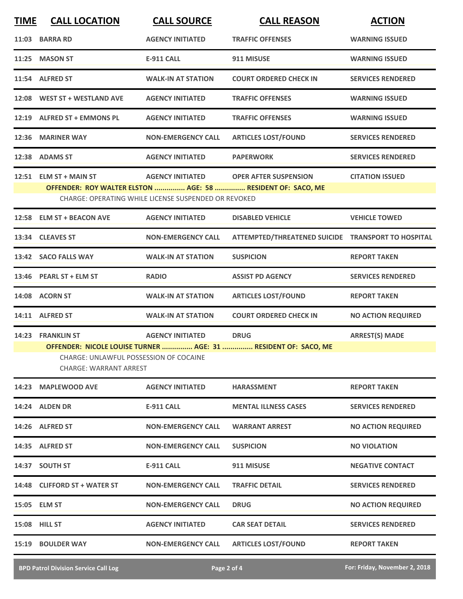| <b>TIME</b> | <b>CALL LOCATION</b>                                                                                                                      | <b>CALL SOURCE</b>                                                              | <b>CALL REASON</b>                                 | <b>ACTION</b>             |  |
|-------------|-------------------------------------------------------------------------------------------------------------------------------------------|---------------------------------------------------------------------------------|----------------------------------------------------|---------------------------|--|
| 11:03       | <b>BARRA RD</b>                                                                                                                           | <b>AGENCY INITIATED</b>                                                         | <b>TRAFFIC OFFENSES</b>                            | <b>WARNING ISSUED</b>     |  |
|             | 11:25 MASON ST                                                                                                                            | <b>E-911 CALL</b>                                                               | 911 MISUSE                                         | <b>WARNING ISSUED</b>     |  |
|             | 11:54 ALFRED ST                                                                                                                           | <b>WALK-IN AT STATION</b>                                                       | <b>COURT ORDERED CHECK IN</b>                      | <b>SERVICES RENDERED</b>  |  |
|             | 12:08 WEST ST + WESTLAND AVE                                                                                                              | <b>AGENCY INITIATED</b>                                                         | <b>TRAFFIC OFFENSES</b>                            | <b>WARNING ISSUED</b>     |  |
|             | 12:19 ALFRED ST + EMMONS PL                                                                                                               | <b>AGENCY INITIATED</b>                                                         | <b>TRAFFIC OFFENSES</b>                            | <b>WARNING ISSUED</b>     |  |
|             | 12:36 MARINER WAY                                                                                                                         | <b>NON-EMERGENCY CALL</b>                                                       | <b>ARTICLES LOST/FOUND</b>                         | <b>SERVICES RENDERED</b>  |  |
|             | 12:38 ADAMS ST                                                                                                                            | <b>AGENCY INITIATED</b>                                                         | <b>PAPERWORK</b>                                   | <b>SERVICES RENDERED</b>  |  |
|             | 12:51 ELM ST + MAIN ST<br>OFFENDER: ROY WALTER ELSTON  AGE: 58  RESIDENT OF: SACO, ME                                                     | <b>AGENCY INITIATED</b><br>CHARGE: OPERATING WHILE LICENSE SUSPENDED OR REVOKED | <b>OPER AFTER SUSPENSION</b>                       | <b>CITATION ISSUED</b>    |  |
|             | 12:58 ELM ST + BEACON AVE                                                                                                                 | <b>AGENCY INITIATED</b>                                                         | <b>DISABLED VEHICLE</b>                            | <b>VEHICLE TOWED</b>      |  |
|             | 13:34 CLEAVES ST                                                                                                                          | <b>NON-EMERGENCY CALL</b>                                                       | ATTEMPTED/THREATENED SUICIDE TRANSPORT TO HOSPITAL |                           |  |
|             | 13:42 SACO FALLS WAY                                                                                                                      | <b>WALK-IN AT STATION</b>                                                       | <b>SUSPICION</b>                                   | <b>REPORT TAKEN</b>       |  |
|             | 13:46 PEARL ST + ELM ST                                                                                                                   | <b>RADIO</b>                                                                    | <b>ASSIST PD AGENCY</b>                            | <b>SERVICES RENDERED</b>  |  |
|             | 14:08 ACORN ST                                                                                                                            | <b>WALK-IN AT STATION</b>                                                       | <b>ARTICLES LOST/FOUND</b>                         | <b>REPORT TAKEN</b>       |  |
|             | 14:11 ALFRED ST                                                                                                                           | <b>WALK-IN AT STATION</b>                                                       | <b>COURT ORDERED CHECK IN</b>                      | <b>NO ACTION REQUIRED</b> |  |
|             | 14:23 FRANKLIN ST                                                                                                                         | <b>AGENCY INITIATED</b>                                                         | <b>DRUG</b>                                        | <b>ARREST(S) MADE</b>     |  |
|             | OFFENDER: NICOLE LOUISE TURNER  AGE: 31  RESIDENT OF: SACO, ME<br>CHARGE: UNLAWFUL POSSESSION OF COCAINE<br><b>CHARGE: WARRANT ARREST</b> |                                                                                 |                                                    |                           |  |
| 14:23       | <b>MAPLEWOOD AVE</b>                                                                                                                      | <b>AGENCY INITIATED</b>                                                         | <b>HARASSMENT</b>                                  | <b>REPORT TAKEN</b>       |  |
|             | 14:24 ALDEN DR                                                                                                                            | <b>E-911 CALL</b>                                                               | <b>MENTAL ILLNESS CASES</b>                        | <b>SERVICES RENDERED</b>  |  |
|             | 14:26 ALFRED ST                                                                                                                           | <b>NON-EMERGENCY CALL</b>                                                       | <b>WARRANT ARREST</b>                              | <b>NO ACTION REQUIRED</b> |  |
|             | 14:35 ALFRED ST                                                                                                                           | <b>NON-EMERGENCY CALL</b>                                                       | <b>SUSPICION</b>                                   | <b>NO VIOLATION</b>       |  |
|             | 14:37 SOUTH ST                                                                                                                            | <b>E-911 CALL</b>                                                               | 911 MISUSE                                         | <b>NEGATIVE CONTACT</b>   |  |
|             | 14:48 CLIFFORD ST + WATER ST                                                                                                              | <b>NON-EMERGENCY CALL</b>                                                       | <b>TRAFFIC DETAIL</b>                              | <b>SERVICES RENDERED</b>  |  |
|             | 15:05 ELM ST                                                                                                                              | <b>NON-EMERGENCY CALL</b>                                                       | <b>DRUG</b>                                        | <b>NO ACTION REQUIRED</b> |  |
|             | <b>15:08 HILL ST</b>                                                                                                                      | <b>AGENCY INITIATED</b>                                                         | <b>CAR SEAT DETAIL</b>                             | <b>SERVICES RENDERED</b>  |  |
| 15:19       | <b>BOULDER WAY</b>                                                                                                                        | <b>NON-EMERGENCY CALL</b>                                                       | <b>ARTICLES LOST/FOUND</b>                         | <b>REPORT TAKEN</b>       |  |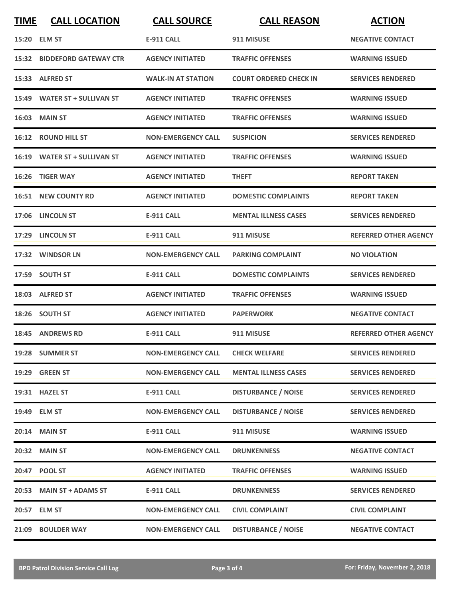| <b>TIME</b> | <b>CALL LOCATION</b>               | <b>CALL SOURCE</b>               | <b>CALL REASON</b>            | <b>ACTION</b>                |
|-------------|------------------------------------|----------------------------------|-------------------------------|------------------------------|
|             | 15:20 ELM ST                       | <b>E-911 CALL</b>                | 911 MISUSE                    | <b>NEGATIVE CONTACT</b>      |
|             | <b>15:32 BIDDEFORD GATEWAY CTR</b> | <b>AGENCY INITIATED</b>          | <b>TRAFFIC OFFENSES</b>       | <b>WARNING ISSUED</b>        |
|             | 15:33 ALFRED ST                    | <b>WALK-IN AT STATION</b>        | <b>COURT ORDERED CHECK IN</b> | <b>SERVICES RENDERED</b>     |
|             | 15:49 WATER ST + SULLIVAN ST       | <b>AGENCY INITIATED</b>          | <b>TRAFFIC OFFENSES</b>       | <b>WARNING ISSUED</b>        |
|             | <b>16:03 MAIN ST</b>               | <b>AGENCY INITIATED</b>          | <b>TRAFFIC OFFENSES</b>       | <b>WARNING ISSUED</b>        |
|             | 16:12 ROUND HILL ST                | <b>NON-EMERGENCY CALL</b>        | <b>SUSPICION</b>              | <b>SERVICES RENDERED</b>     |
|             | 16:19 WATER ST + SULLIVAN ST       | <b>AGENCY INITIATED</b>          | <b>TRAFFIC OFFENSES</b>       | <b>WARNING ISSUED</b>        |
| 16:26       | <b>TIGER WAY</b>                   | <b>AGENCY INITIATED</b>          | <b>THEFT</b>                  | <b>REPORT TAKEN</b>          |
|             | <b>16:51 NEW COUNTY RD</b>         | <b>AGENCY INITIATED</b>          | <b>DOMESTIC COMPLAINTS</b>    | <b>REPORT TAKEN</b>          |
|             | 17:06 LINCOLN ST                   | E-911 CALL                       | <b>MENTAL ILLNESS CASES</b>   | <b>SERVICES RENDERED</b>     |
|             | 17:29 LINCOLN ST                   | <b>E-911 CALL</b>                | 911 MISUSE                    | <b>REFERRED OTHER AGENCY</b> |
|             | 17:32 WINDSOR LN                   | <b>NON-EMERGENCY CALL</b>        | <b>PARKING COMPLAINT</b>      | <b>NO VIOLATION</b>          |
|             | 17:59 SOUTH ST                     | <b>E-911 CALL</b>                | <b>DOMESTIC COMPLAINTS</b>    | <b>SERVICES RENDERED</b>     |
|             | 18:03 ALFRED ST                    | <b>AGENCY INITIATED</b>          | <b>TRAFFIC OFFENSES</b>       | <b>WARNING ISSUED</b>        |
|             | 18:26 SOUTH ST                     | <b>AGENCY INITIATED</b>          | <b>PAPERWORK</b>              | <b>NEGATIVE CONTACT</b>      |
|             | <b>18:45 ANDREWS RD</b>            | E-911 CALL                       | 911 MISUSE                    | <b>REFERRED OTHER AGENCY</b> |
|             | 19:28 SUMMER ST                    | NON-EMERGENCY CALL CHECK WELFARE |                               | <b>SERVICES RENDERED</b>     |
|             | 19:29 GREEN ST                     | <b>NON-EMERGENCY CALL</b>        | <b>MENTAL ILLNESS CASES</b>   | <b>SERVICES RENDERED</b>     |
|             | 19:31 HAZEL ST                     | <b>E-911 CALL</b>                | <b>DISTURBANCE / NOISE</b>    | <b>SERVICES RENDERED</b>     |
|             | 19:49 ELM ST                       | <b>NON-EMERGENCY CALL</b>        | <b>DISTURBANCE / NOISE</b>    | <b>SERVICES RENDERED</b>     |
|             | 20:14 MAIN ST                      | <b>E-911 CALL</b>                | 911 MISUSE                    | <b>WARNING ISSUED</b>        |
|             | 20:32 MAIN ST                      | <b>NON-EMERGENCY CALL</b>        | <b>DRUNKENNESS</b>            | <b>NEGATIVE CONTACT</b>      |
|             | 20:47 POOL ST                      | <b>AGENCY INITIATED</b>          | <b>TRAFFIC OFFENSES</b>       | <b>WARNING ISSUED</b>        |
|             | 20:53 MAIN ST + ADAMS ST           | E-911 CALL                       | <b>DRUNKENNESS</b>            | <b>SERVICES RENDERED</b>     |
|             | 20:57 ELM ST                       | <b>NON-EMERGENCY CALL</b>        | <b>CIVIL COMPLAINT</b>        | <b>CIVIL COMPLAINT</b>       |
| 21:09       | <b>BOULDER WAY</b>                 | <b>NON-EMERGENCY CALL</b>        | <b>DISTURBANCE / NOISE</b>    | <b>NEGATIVE CONTACT</b>      |